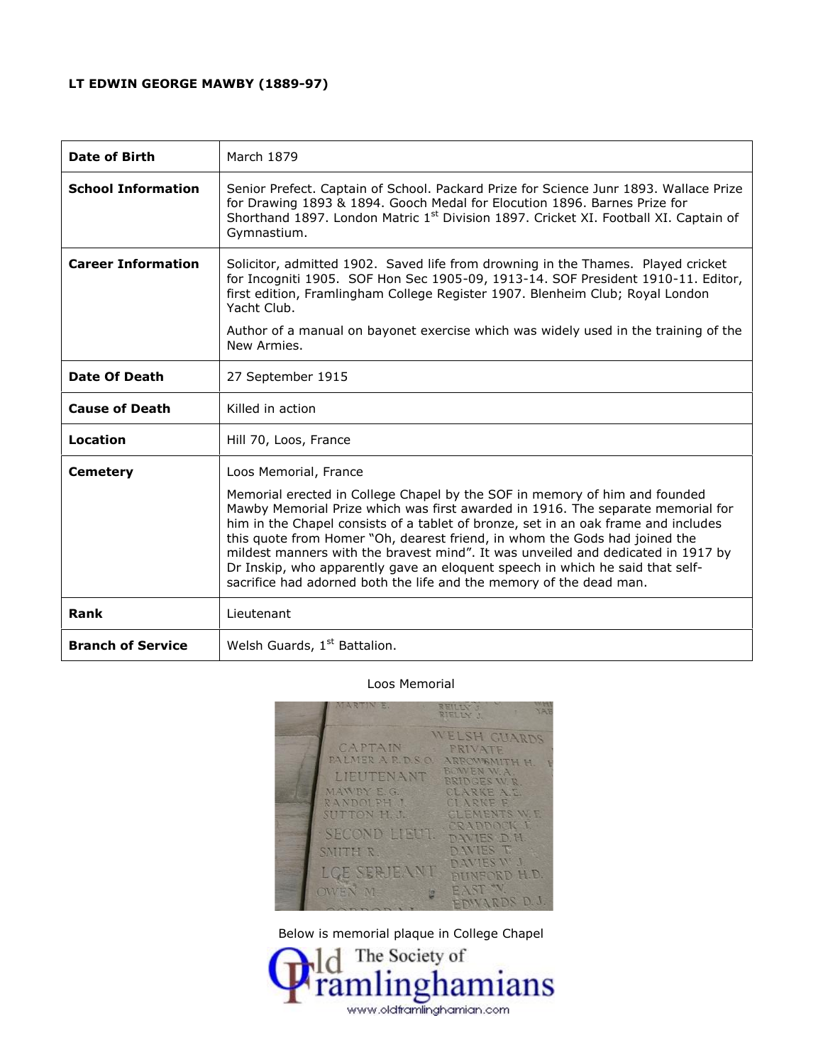## **LT EDWIN GEORGE MAWBY (1889-97)**

| Date of Birth             | March 1879                                                                                                                                                                                                                                                                                                                                                                                                                                                                                                                                                                                             |
|---------------------------|--------------------------------------------------------------------------------------------------------------------------------------------------------------------------------------------------------------------------------------------------------------------------------------------------------------------------------------------------------------------------------------------------------------------------------------------------------------------------------------------------------------------------------------------------------------------------------------------------------|
| <b>School Information</b> | Senior Prefect. Captain of School. Packard Prize for Science Junr 1893. Wallace Prize<br>for Drawing 1893 & 1894. Gooch Medal for Elocution 1896. Barnes Prize for<br>Shorthand 1897. London Matric 1 <sup>st</sup> Division 1897. Cricket XI. Football XI. Captain of<br>Gymnastium.                                                                                                                                                                                                                                                                                                                  |
| <b>Career Information</b> | Solicitor, admitted 1902. Saved life from drowning in the Thames. Played cricket<br>for Incogniti 1905. SOF Hon Sec 1905-09, 1913-14. SOF President 1910-11. Editor,<br>first edition, Framlingham College Register 1907. Blenheim Club; Royal London<br>Yacht Club.<br>Author of a manual on bayonet exercise which was widely used in the training of the<br>New Armies.                                                                                                                                                                                                                             |
| Date Of Death             | 27 September 1915                                                                                                                                                                                                                                                                                                                                                                                                                                                                                                                                                                                      |
| <b>Cause of Death</b>     | Killed in action                                                                                                                                                                                                                                                                                                                                                                                                                                                                                                                                                                                       |
| Location                  | Hill 70, Loos, France                                                                                                                                                                                                                                                                                                                                                                                                                                                                                                                                                                                  |
| <b>Cemetery</b>           | Loos Memorial, France<br>Memorial erected in College Chapel by the SOF in memory of him and founded<br>Mawby Memorial Prize which was first awarded in 1916. The separate memorial for<br>him in the Chapel consists of a tablet of bronze, set in an oak frame and includes<br>this quote from Homer "Oh, dearest friend, in whom the Gods had joined the<br>mildest manners with the bravest mind". It was unveiled and dedicated in 1917 by<br>Dr Inskip, who apparently gave an eloquent speech in which he said that self-<br>sacrifice had adorned both the life and the memory of the dead man. |
| <b>Rank</b>               | Lieutenant                                                                                                                                                                                                                                                                                                                                                                                                                                                                                                                                                                                             |
| <b>Branch of Service</b>  | Welsh Guards, 1st Battalion.                                                                                                                                                                                                                                                                                                                                                                                                                                                                                                                                                                           |

## Loos Memorial



Below is memorial plaque in College Chapel